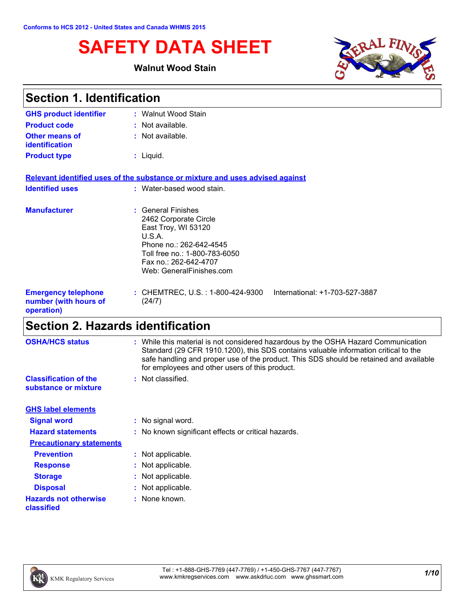# **SAFETY DATA SHEET**

### **Walnut Wood Stain**



| <b>Section 1. Identification</b>                                  |                                                                                                                                                                                               |  |
|-------------------------------------------------------------------|-----------------------------------------------------------------------------------------------------------------------------------------------------------------------------------------------|--|
| <b>GHS product identifier</b>                                     | : Walnut Wood Stain                                                                                                                                                                           |  |
| <b>Product code</b>                                               | : Not available.                                                                                                                                                                              |  |
| <b>Other means of</b><br><b>identification</b>                    | : Not available.                                                                                                                                                                              |  |
| <b>Product type</b>                                               | $:$ Liquid.                                                                                                                                                                                   |  |
|                                                                   | Relevant identified uses of the substance or mixture and uses advised against                                                                                                                 |  |
| <b>Identified uses</b>                                            | : Water-based wood stain.                                                                                                                                                                     |  |
| <b>Manufacturer</b>                                               | : General Finishes<br>2462 Corporate Circle<br>East Troy, WI 53120<br>U.S.A.<br>Phone no.: 262-642-4545<br>Toll free no.: 1-800-783-6050<br>Fax no.: 262-642-4707<br>Web: GeneralFinishes.com |  |
| <b>Emergency telephone</b><br>number (with hours of<br>operation) | : CHEMTREC, U.S. : 1-800-424-9300<br>International: +1-703-527-3887<br>(24/7)                                                                                                                 |  |

# **Section 2. Hazards identification**

| <b>OSHA/HCS status</b>                               | : While this material is not considered hazardous by the OSHA Hazard Communication<br>Standard (29 CFR 1910.1200), this SDS contains valuable information critical to the<br>safe handling and proper use of the product. This SDS should be retained and available<br>for employees and other users of this product. |
|------------------------------------------------------|-----------------------------------------------------------------------------------------------------------------------------------------------------------------------------------------------------------------------------------------------------------------------------------------------------------------------|
| <b>Classification of the</b><br>substance or mixture | : Not classified.                                                                                                                                                                                                                                                                                                     |
| <b>GHS label elements</b>                            |                                                                                                                                                                                                                                                                                                                       |
| <b>Signal word</b>                                   | : No signal word.                                                                                                                                                                                                                                                                                                     |
| <b>Hazard statements</b>                             | : No known significant effects or critical hazards.                                                                                                                                                                                                                                                                   |
| <b>Precautionary statements</b>                      |                                                                                                                                                                                                                                                                                                                       |
| <b>Prevention</b>                                    | : Not applicable.                                                                                                                                                                                                                                                                                                     |
| <b>Response</b>                                      | : Not applicable.                                                                                                                                                                                                                                                                                                     |
| <b>Storage</b>                                       | : Not applicable.                                                                                                                                                                                                                                                                                                     |
| <b>Disposal</b>                                      | : Not applicable.                                                                                                                                                                                                                                                                                                     |
| <b>Hazards not otherwise</b><br>classified           | : None known.                                                                                                                                                                                                                                                                                                         |
|                                                      |                                                                                                                                                                                                                                                                                                                       |

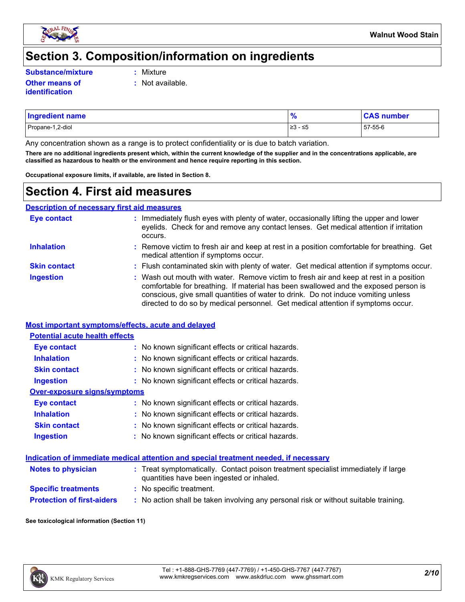

### **Section 3. Composition/information on ingredients**

**Substance/mixture :**

- Mixture
- **Other means of identification**
- **:** Not available.
- Propane-1,2-diol ≥3 ≤5 57-55-6 **Ingredient name % CAS number**

Any concentration shown as a range is to protect confidentiality or is due to batch variation.

**There are no additional ingredients present which, within the current knowledge of the supplier and in the concentrations applicable, are classified as hazardous to health or the environment and hence require reporting in this section.**

**Occupational exposure limits, if available, are listed in Section 8.**

### **Section 4. First aid measures**

**Description of necessary first aid measures**

| <b>Eye contact</b>  | : Immediately flush eyes with plenty of water, occasionally lifting the upper and lower<br>eyelids. Check for and remove any contact lenses. Get medical attention if irritation<br>occurs.                                                                                                                                                            |
|---------------------|--------------------------------------------------------------------------------------------------------------------------------------------------------------------------------------------------------------------------------------------------------------------------------------------------------------------------------------------------------|
| <b>Inhalation</b>   | : Remove victim to fresh air and keep at rest in a position comfortable for breathing. Get<br>medical attention if symptoms occur.                                                                                                                                                                                                                     |
| <b>Skin contact</b> | : Flush contaminated skin with plenty of water. Get medical attention if symptoms occur.                                                                                                                                                                                                                                                               |
| <b>Ingestion</b>    | : Wash out mouth with water. Remove victim to fresh air and keep at rest in a position<br>comfortable for breathing. If material has been swallowed and the exposed person is<br>conscious, give small quantities of water to drink. Do not induce vomiting unless<br>directed to do so by medical personnel. Get medical attention if symptoms occur. |

#### **Most important symptoms/effects, acute and delayed**

| <b>Potential acute health effects</b> |                                                     |
|---------------------------------------|-----------------------------------------------------|
| Eye contact                           | : No known significant effects or critical hazards. |
| <b>Inhalation</b>                     | : No known significant effects or critical hazards. |
| <b>Skin contact</b>                   | : No known significant effects or critical hazards. |
| <b>Ingestion</b>                      | : No known significant effects or critical hazards. |
| Over-exposure signs/symptoms          |                                                     |
| Eye contact                           | : No known significant effects or critical hazards. |
| <b>Inhalation</b>                     | : No known significant effects or critical hazards. |
| <b>Skin contact</b>                   | : No known significant effects or critical hazards. |
| <b>Ingestion</b>                      | : No known significant effects or critical hazards. |

#### **Indication of immediate medical attention and special treatment needed, if necessary**

| <b>Notes to physician</b>         | : Treat symptomatically. Contact poison treatment specialist immediately if large<br>quantities have been ingested or inhaled. |
|-----------------------------------|--------------------------------------------------------------------------------------------------------------------------------|
| <b>Specific treatments</b>        | : No specific treatment.                                                                                                       |
| <b>Protection of first-aiders</b> | No action shall be taken involving any personal risk or without suitable training.                                             |

#### **See toxicological information (Section 11)**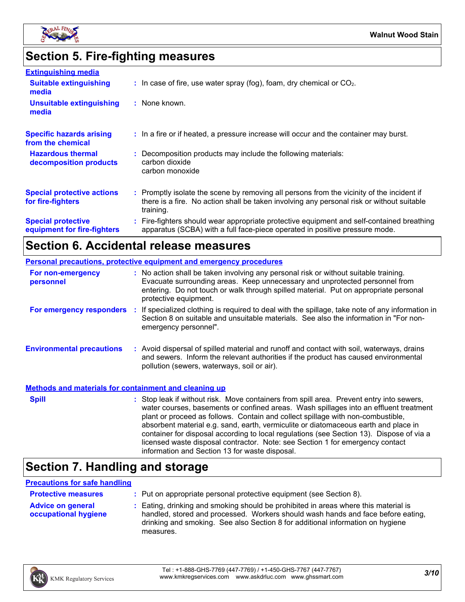

# **Section 5. Fire-fighting measures**

| <b>Extinguishing media</b>                               |                                                                                                                                                                                                     |
|----------------------------------------------------------|-----------------------------------------------------------------------------------------------------------------------------------------------------------------------------------------------------|
| <b>Suitable extinguishing</b><br>media                   | $\therefore$ In case of fire, use water spray (fog), foam, dry chemical or CO <sub>2</sub> .                                                                                                        |
| <b>Unsuitable extinguishing</b><br>media                 | : None known.                                                                                                                                                                                       |
| <b>Specific hazards arising</b><br>from the chemical     | : In a fire or if heated, a pressure increase will occur and the container may burst.                                                                                                               |
| <b>Hazardous thermal</b><br>decomposition products       | : Decomposition products may include the following materials:<br>carbon dioxide<br>carbon monoxide                                                                                                  |
| <b>Special protective actions</b><br>for fire-fighters   | : Promptly isolate the scene by removing all persons from the vicinity of the incident if<br>there is a fire. No action shall be taken involving any personal risk or without suitable<br>training. |
| <b>Special protective</b><br>equipment for fire-fighters | : Fire-fighters should wear appropriate protective equipment and self-contained breathing<br>apparatus (SCBA) with a full face-piece operated in positive pressure mode.                            |

# **Section 6. Accidental release measures**

| <b>Personal precautions, protective equipment and emergency procedures</b> |  |                                                                                                                                                                                                                                                                                                                                                                                                                                                                                                                                                                                            |
|----------------------------------------------------------------------------|--|--------------------------------------------------------------------------------------------------------------------------------------------------------------------------------------------------------------------------------------------------------------------------------------------------------------------------------------------------------------------------------------------------------------------------------------------------------------------------------------------------------------------------------------------------------------------------------------------|
| For non-emergency<br>personnel                                             |  | : No action shall be taken involving any personal risk or without suitable training.<br>Evacuate surrounding areas. Keep unnecessary and unprotected personnel from<br>entering. Do not touch or walk through spilled material. Put on appropriate personal<br>protective equipment.                                                                                                                                                                                                                                                                                                       |
| For emergency responders :                                                 |  | If specialized clothing is required to deal with the spillage, take note of any information in<br>Section 8 on suitable and unsuitable materials. See also the information in "For non-<br>emergency personnel".                                                                                                                                                                                                                                                                                                                                                                           |
| <b>Environmental precautions</b>                                           |  | : Avoid dispersal of spilled material and runoff and contact with soil, waterways, drains<br>and sewers. Inform the relevant authorities if the product has caused environmental<br>pollution (sewers, waterways, soil or air).                                                                                                                                                                                                                                                                                                                                                            |
| <b>Methods and materials for containment and cleaning up</b>               |  |                                                                                                                                                                                                                                                                                                                                                                                                                                                                                                                                                                                            |
| <b>Spill</b>                                                               |  | : Stop leak if without risk. Move containers from spill area. Prevent entry into sewers,<br>water courses, basements or confined areas. Wash spillages into an effluent treatment<br>plant or proceed as follows. Contain and collect spillage with non-combustible,<br>absorbent material e.g. sand, earth, vermiculite or diatomaceous earth and place in<br>container for disposal according to local regulations (see Section 13). Dispose of via a<br>licensed waste disposal contractor. Note: see Section 1 for emergency contact<br>information and Section 13 for waste disposal. |

# **Section 7. Handling and storage**

#### **Precautions for safe handling**

| <b>Protective measures</b>                              | : Put on appropriate personal protective equipment (see Section 8).                                                                                                                                                                                                    |
|---------------------------------------------------------|------------------------------------------------------------------------------------------------------------------------------------------------------------------------------------------------------------------------------------------------------------------------|
| <b>Advice on general</b><br><b>occupational hygiene</b> | : Eating, drinking and smoking should be prohibited in areas where this material is<br>handled, stored and processed. Workers should wash hands and face before eating,<br>drinking and smoking. See also Section 8 for additional information on hygiene<br>measures. |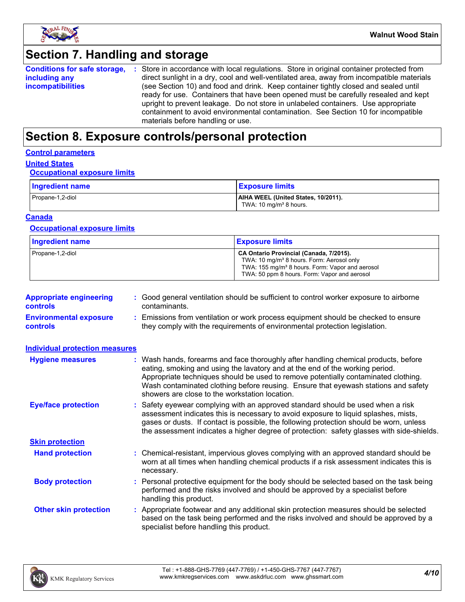

# **Section 7. Handling and storage**

| <b>Conditions for safe storage,</b> | : Store in accordance with local regulations. Store in original container protected from  |
|-------------------------------------|-------------------------------------------------------------------------------------------|
| including any                       | direct sunlight in a dry, cool and well-ventilated area, away from incompatible materials |
| <i>incompatibilities</i>            | (see Section 10) and food and drink. Keep container tightly closed and sealed until       |
|                                     | ready for use. Containers that have been opened must be carefully resealed and kept       |
|                                     | upright to prevent leakage. Do not store in unlabeled containers. Use appropriate         |
|                                     | containment to avoid environmental contamination. See Section 10 for incompatible         |
|                                     | materials before handling or use.                                                         |

## **Section 8. Exposure controls/personal protection**

#### **Control parameters**

### **United States**

#### **Occupational exposure limits**

| Ingredient name  | <b>Exposure limits</b>                                                    |
|------------------|---------------------------------------------------------------------------|
| Propane-1,2-diol | AIHA WEEL (United States, 10/2011).<br>TWA: 10 mg/m <sup>3</sup> 8 hours. |

#### **Canada**

#### **Occupational exposure limits**

| <b>Ingredient name</b> | <b>Exposure limits</b>                                                                                                                                                                                          |
|------------------------|-----------------------------------------------------------------------------------------------------------------------------------------------------------------------------------------------------------------|
| Propane-1,2-diol       | CA Ontario Provincial (Canada, 7/2015).<br>TWA: 10 mg/m <sup>3</sup> 8 hours. Form: Aerosol only<br>TWA: 155 mg/m <sup>3</sup> 8 hours. Form: Vapor and aerosol<br>TWA: 50 ppm 8 hours. Form: Vapor and aerosol |

| <b>Appropriate engineering</b><br><b>controls</b> | : Good general ventilation should be sufficient to control worker exposure to airborne<br>contaminants.                                                          |
|---------------------------------------------------|------------------------------------------------------------------------------------------------------------------------------------------------------------------|
| <b>Environmental exposure</b><br><b>controls</b>  | : Emissions from ventilation or work process equipment should be checked to ensure<br>they comply with the requirements of environmental protection legislation. |

| <b>Individual protection measures</b> |                                                                                                                                                                                                                                                                                                                                                                                                   |
|---------------------------------------|---------------------------------------------------------------------------------------------------------------------------------------------------------------------------------------------------------------------------------------------------------------------------------------------------------------------------------------------------------------------------------------------------|
| <b>Hygiene measures</b>               | : Wash hands, forearms and face thoroughly after handling chemical products, before<br>eating, smoking and using the lavatory and at the end of the working period.<br>Appropriate techniques should be used to remove potentially contaminated clothing.<br>Wash contaminated clothing before reusing. Ensure that eyewash stations and safety<br>showers are close to the workstation location. |
| <b>Eye/face protection</b>            | : Safety eyewear complying with an approved standard should be used when a risk<br>assessment indicates this is necessary to avoid exposure to liquid splashes, mists,<br>gases or dusts. If contact is possible, the following protection should be worn, unless<br>the assessment indicates a higher degree of protection: safety glasses with side-shields.                                    |
| <b>Skin protection</b>                |                                                                                                                                                                                                                                                                                                                                                                                                   |
| <b>Hand protection</b>                | : Chemical-resistant, impervious gloves complying with an approved standard should be<br>worn at all times when handling chemical products if a risk assessment indicates this is<br>necessary.                                                                                                                                                                                                   |
| <b>Body protection</b>                | : Personal protective equipment for the body should be selected based on the task being<br>performed and the risks involved and should be approved by a specialist before<br>handling this product.                                                                                                                                                                                               |
| <b>Other skin protection</b>          | : Appropriate footwear and any additional skin protection measures should be selected<br>based on the task being performed and the risks involved and should be approved by a<br>specialist before handling this product.                                                                                                                                                                         |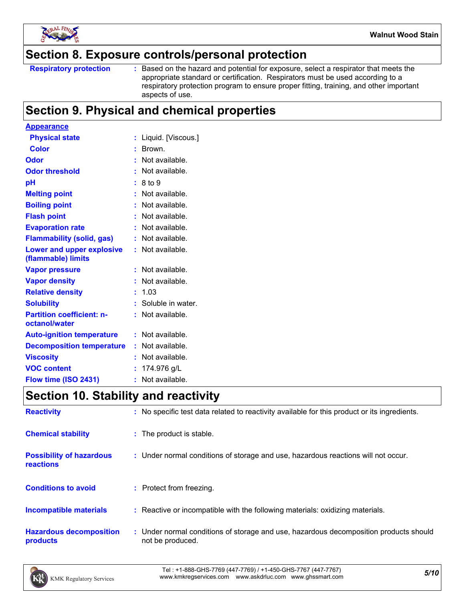

### **Section 8. Exposure controls/personal protection**

Based on the hazard and potential for exposure, select a respirator that meets the appropriate standard or certification. Respirators must be used according to a respiratory protection program to ensure proper fitting, training, and other important aspects of use.

### **Section 9. Physical and chemical properties**

| <b>Appearance</b>                                 |    |                     |
|---------------------------------------------------|----|---------------------|
| <b>Physical state</b>                             |    | Liquid. [Viscous.]  |
| <b>Color</b>                                      |    | Brown.              |
| Odor                                              |    | Not available.      |
| <b>Odor threshold</b>                             |    | Not available.      |
| рH                                                |    | 8 to 9              |
| <b>Melting point</b>                              |    | Not available.      |
| <b>Boiling point</b>                              |    | Not available.      |
| <b>Flash point</b>                                |    | Not available.      |
| <b>Evaporation rate</b>                           |    | Not available.      |
| <b>Flammability (solid, gas)</b>                  |    | Not available.      |
| Lower and upper explosive<br>(flammable) limits   |    | Not available.      |
| <b>Vapor pressure</b>                             |    | Not available.      |
| <b>Vapor density</b>                              |    | Not available.      |
| <b>Relative density</b>                           |    | 1.03                |
| <b>Solubility</b>                                 |    | : Soluble in water. |
| <b>Partition coefficient: n-</b><br>octanol/water |    | Not available.      |
| <b>Auto-ignition temperature</b>                  |    | Not available.      |
| <b>Decomposition temperature</b>                  |    | Not available.      |
| <b>Viscosity</b>                                  |    | Not available.      |
| <b>VOC content</b>                                |    | 174.976 g/L         |
| Flow time (ISO 2431)                              | ř. | Not available.      |

## **Section 10. Stability and reactivity**

| <b>Reactivity</b>                            | : No specific test data related to reactivity available for this product or its ingredients.              |
|----------------------------------------------|-----------------------------------------------------------------------------------------------------------|
| <b>Chemical stability</b>                    | : The product is stable.                                                                                  |
| <b>Possibility of hazardous</b><br>reactions | : Under normal conditions of storage and use, hazardous reactions will not occur.                         |
| <b>Conditions to avoid</b>                   | : Protect from freezing.                                                                                  |
| <b>Incompatible materials</b>                | : Reactive or incompatible with the following materials: oxidizing materials.                             |
| <b>Hazardous decomposition</b><br>products   | : Under normal conditions of storage and use, hazardous decomposition products should<br>not be produced. |

*5/10* Tel : +1-888-GHS-7769 (447-7769) / +1-450-GHS-7767 (447-7767) www.kmkregservices.com www.askdrluc.com www.ghssmart.com

**Respiratory protection :**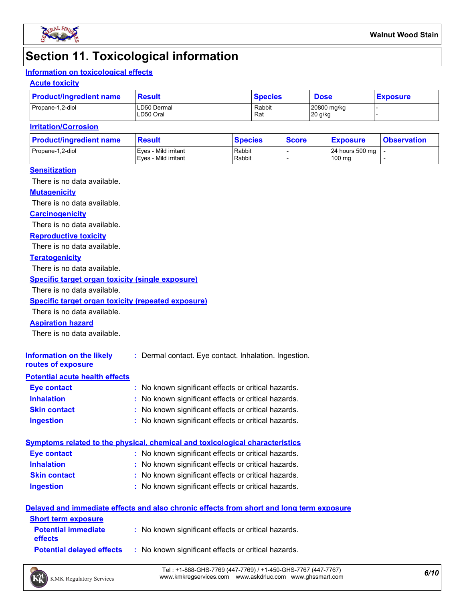

### **Section 11. Toxicological information**

### **Information on toxicological effects**

#### **Acute toxicity**

| <b>Product/ingredient name</b> | <b>Result</b>            | <b>Species</b> | <b>Dose</b>            | <b>Exposure</b> |  |
|--------------------------------|--------------------------|----------------|------------------------|-----------------|--|
| Propane-1,2-diol               | LD50 Dermal<br>LD50 Oral | Rabbit<br>Rat  | 20800 mg/kg<br>20 g/kg |                 |  |

#### **Irritation/Corrosion**

| <b>Product/ingredient name</b> | <b>Result</b>                                | <b>Species</b>   | <b>Score</b> | <u>  Exposure</u>         | <b>Observation</b> |
|--------------------------------|----------------------------------------------|------------------|--------------|---------------------------|--------------------|
| Propane-1,2-diol               | Eves - Mild irritant<br>Eves - Mild irritant | Rabbit<br>Rabbit |              | 24 hours 500 mg<br>100 mg |                    |
|                                |                                              |                  |              |                           |                    |

#### **Sensitization**

There is no data available.

#### **Mutagenicity**

There is no data available.

#### **Carcinogenicity**

There is no data available.

#### **Reproductive toxicity**

There is no data available.

#### **Teratogenicity**

There is no data available.

#### **Specific target organ toxicity (single exposure)**

There is no data available.

#### **Specific target organ toxicity (repeated exposure)**

There is no data available.

#### **Aspiration hazard**

There is no data available.

| Information on the likely<br>routes of exposure | : Dermal contact. Eye contact. Inhalation. Ingestion. |
|-------------------------------------------------|-------------------------------------------------------|
| <b>Potential acute health effects</b>           |                                                       |
| <b>Eye contact</b>                              | : No known significant effects or critical hazards.   |
| <b>Inhalation</b>                               | : No known significant effects or critical hazards.   |
| <b>Skin contact</b>                             | : No known significant effects or critical hazards.   |

#### **Ingestion :** No known significant effects or critical hazards.

|                     | Symptoms related to the physical, chemical and toxicological characteristics |  |
|---------------------|------------------------------------------------------------------------------|--|
| Eye contact         | : No known significant effects or critical hazards.                          |  |
| <b>Inhalation</b>   | : No known significant effects or critical hazards.                          |  |
| <b>Skin contact</b> | : No known significant effects or critical hazards.                          |  |
| <b>Ingestion</b>    | : No known significant effects or critical hazards.                          |  |

#### **Delayed and immediate effects and also chronic effects from short and long term exposure**

| <b>Short term exposure</b>                   |                                                     |
|----------------------------------------------|-----------------------------------------------------|
| <b>Potential immediate</b><br><b>effects</b> | : No known significant effects or critical hazards. |
| <b>Potential delaved effects</b>             | : No known significant effects or critical hazards. |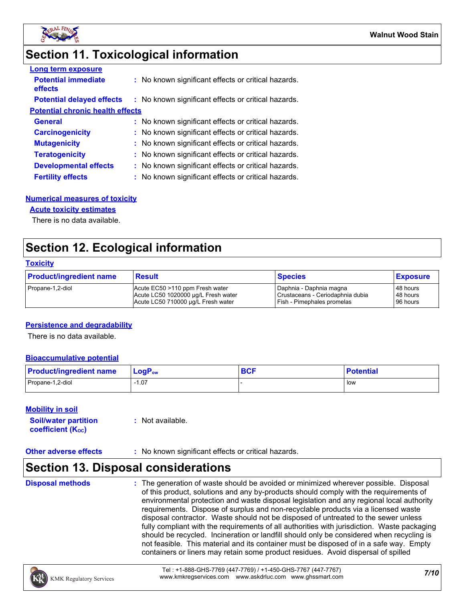

### **Section 11. Toxicological information**

| <b>Long term exposure</b>               |                                                     |
|-----------------------------------------|-----------------------------------------------------|
| <b>Potential immediate</b><br>effects   | : No known significant effects or critical hazards. |
| <b>Potential delayed effects</b>        | : No known significant effects or critical hazards. |
| <b>Potential chronic health effects</b> |                                                     |
| <b>General</b>                          | : No known significant effects or critical hazards. |
| <b>Carcinogenicity</b>                  | : No known significant effects or critical hazards. |
| <b>Mutagenicity</b>                     | : No known significant effects or critical hazards. |
| <b>Teratogenicity</b>                   | : No known significant effects or critical hazards. |
| <b>Developmental effects</b>            | : No known significant effects or critical hazards. |
| <b>Fertility effects</b>                | : No known significant effects or critical hazards. |

#### **Numerical measures of toxicity**

#### **Acute toxicity estimates**

There is no data available.

### **Section 12. Ecological information**

#### **Toxicity**

| <b>Product/ingredient name</b> | <b>Result</b>                       | <b>Species</b>                   | <b>Exposure</b> |
|--------------------------------|-------------------------------------|----------------------------------|-----------------|
| Propane-1,2-diol               | Acute EC50 >110 ppm Fresh water     | I Daphnia - Daphnia magna        | 48 hours        |
|                                | Acute LC50 1020000 ug/L Fresh water | Crustaceans - Ceriodaphnia dubia | 48 hours        |
|                                | Acute LC50 710000 ug/L Fresh water  | Fish - Pimephales promelas       | 96 hours        |

#### **Persistence and degradability**

There is no data available.

#### **Bioaccumulative potential**

| <b>Product/ingredient name</b> | $LogPow$ | <b>DAC</b><br><b>DUI</b> | <b>Potential</b> |
|--------------------------------|----------|--------------------------|------------------|
| Propane-1,2-diol               | 07، ا    |                          | l low            |

#### **Mobility in soil**

| <b>Soil/water partition</b> | $:$ Not available. |
|-----------------------------|--------------------|
| <b>coefficient (Koc)</b>    |                    |

#### **Other adverse effects** : No known significant effects or critical hazards.

### **Section 13. Disposal considerations**

**Disposal methods :**

The generation of waste should be avoided or minimized wherever possible. Disposal of this product, solutions and any by-products should comply with the requirements of environmental protection and waste disposal legislation and any regional local authority requirements. Dispose of surplus and non-recyclable products via a licensed waste disposal contractor. Waste should not be disposed of untreated to the sewer unless fully compliant with the requirements of all authorities with jurisdiction. Waste packaging should be recycled. Incineration or landfill should only be considered when recycling is not feasible. This material and its container must be disposed of in a safe way. Empty containers or liners may retain some product residues. Avoid dispersal of spilled

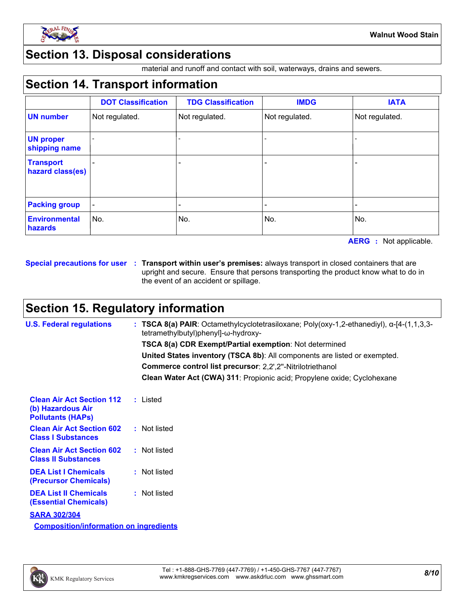

### **Section 13. Disposal considerations**

material and runoff and contact with soil, waterways, drains and sewers.

### **Section 14. Transport information**

|                                      | <b>DOT Classification</b> | <b>TDG Classification</b> | <b>IMDG</b>    | <b>IATA</b>    |
|--------------------------------------|---------------------------|---------------------------|----------------|----------------|
| <b>UN number</b>                     | Not regulated.            | Not regulated.            | Not regulated. | Not regulated. |
| <b>UN proper</b><br>shipping name    |                           |                           |                |                |
| <b>Transport</b><br>hazard class(es) |                           |                           |                |                |
| <b>Packing group</b>                 |                           |                           |                |                |
| <b>Environmental</b><br>hazards      | No.                       | No.                       | No.            | No.            |

**AERG :** Not applicable.

**Special precautions for user Transport within user's premises:** always transport in closed containers that are **:** upright and secure. Ensure that persons transporting the product know what to do in the event of an accident or spillage.

### **Section 15. Regulatory information**

| <b>U.S. Federal regulations</b>                                                   | <b>TSCA 8(a) PAIR:</b> Octamethylcyclotetrasiloxane; Poly(oxy-1,2-ethanediyl), $\alpha$ -[4-(1,1,3,3-<br>tetramethylbutyl)phenyl]-ω-hydroxy- |
|-----------------------------------------------------------------------------------|----------------------------------------------------------------------------------------------------------------------------------------------|
|                                                                                   | <b>TSCA 8(a) CDR Exempt/Partial exemption: Not determined</b>                                                                                |
|                                                                                   | United States inventory (TSCA 8b): All components are listed or exempted.                                                                    |
|                                                                                   | Commerce control list precursor: 2,2',2"-Nitrilotriethanol                                                                                   |
|                                                                                   | Clean Water Act (CWA) 311: Propionic acid; Propylene oxide; Cyclohexane                                                                      |
| <b>Clean Air Act Section 112</b><br>(b) Hazardous Air<br><b>Pollutants (HAPs)</b> | : Listed                                                                                                                                     |
| <b>Clean Air Act Section 602</b><br><b>Class I Substances</b>                     | : Not listed                                                                                                                                 |
| <b>Clean Air Act Section 602</b><br><b>Class II Substances</b>                    | : Not listed                                                                                                                                 |
| <b>DEA List I Chemicals</b><br>(Precursor Chemicals)                              | : Not listed                                                                                                                                 |
| <b>DEA List II Chemicals</b><br><b>(Essential Chemicals)</b>                      | : Not listed                                                                                                                                 |
| <b>SARA 302/304</b>                                                               |                                                                                                                                              |

**Composition/information on ingredients**

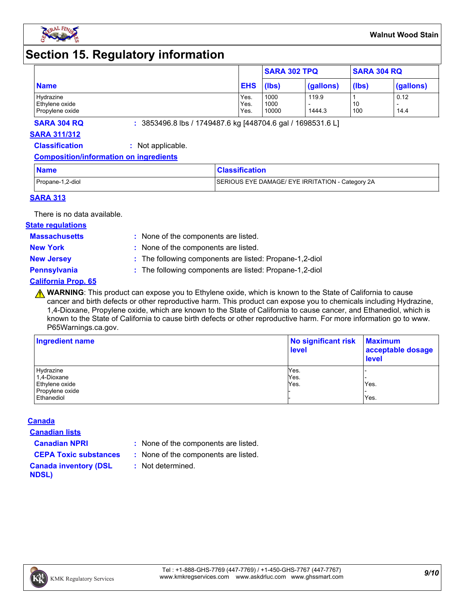

### **Section 15. Regulatory information**

|                                                |                      | <b>SARA 302 TPQ</b>   |                 | <b>SARA 304 RQ</b> |              |
|------------------------------------------------|----------------------|-----------------------|-----------------|--------------------|--------------|
| <b>Name</b>                                    | <b>EHS</b>           | (lbs)                 | (gallons)       | (lbs)              | (gallons)    |
| Hydrazine<br>Ethylene oxide<br>Propylene oxide | Yes.<br>Yes.<br>Yes. | 1000<br>1000<br>10000 | 119.9<br>1444.3 | 10<br>100          | 0.12<br>14.4 |

**SARA 304 RQ :** 3853496.8 lbs / 1749487.6 kg [448704.6 gal / 1698531.6 L]

#### **SARA 311/312**

**Classification :** Not applicable.

#### **Composition/information on ingredients**

| <b>Name</b>      | <b>Classification</b>                            |
|------------------|--------------------------------------------------|
| Propane-1,2-diol | SERIOUS EYE DAMAGE/ EYE IRRITATION - Category 2A |

#### **SARA 313**

There is no data available.

#### **State regulations**

**Massachusetts :**

- : None of the components are listed. **New York :** None of the components are listed.
- 
- **New Jersey :** The following components are listed: Propane-1,2-diol

- **Pennsylvania :** The following components are listed: Propane-1,2-diol
- **California Prop. 65**
	- **A WARNING**: This product can expose you to Ethylene oxide, which is known to the State of California to cause cancer and birth defects or other reproductive harm. This product can expose you to chemicals including Hydrazine, 1,4-Dioxane, Propylene oxide, which are known to the State of California to cause cancer, and Ethanediol, which is known to the State of California to cause birth defects or other reproductive harm. For more information go to www. P65Warnings.ca.gov.

| <b>Ingredient name</b> | No significant risk<br>level | <b>Maximum</b><br>acceptable dosage<br><b>level</b> |  |
|------------------------|------------------------------|-----------------------------------------------------|--|
| Hydrazine              | Yes.                         |                                                     |  |
| 1,4-Dioxane            | Yes.                         |                                                     |  |
| Ethylene oxide         | Yes.                         | Yes.                                                |  |
| Propylene oxide        |                              |                                                     |  |
| Ethanediol             |                              | Yes.                                                |  |

#### **Canada**

**Canadian lists**

- **Canadian NPRI :** None of the components are listed.
- **CEPA Toxic substances :** None of the components are listed.
	- **:** Not determined.
- **Canada inventory (DSL NDSL)**